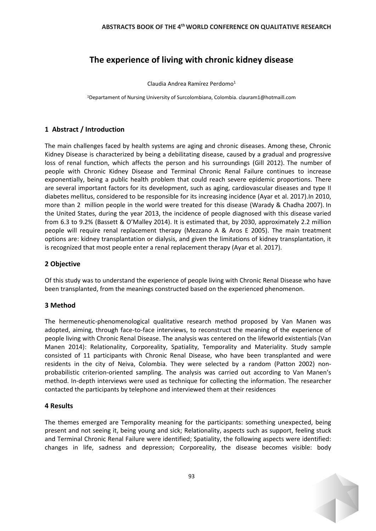# **The experience of living with chronic kidney disease**

Claudia Andrea Ramírez Perdomo $<sup>1</sup>$ </sup>

<sup>1</sup>Departament of Nursing University of Surcolombiana, Colombia. clauram1@hotmaill.com

## **1 Abstract / Introduction**

The main challenges faced by health systems are aging and chronic diseases. Among these, Chronic Kidney Disease is characterized by being a debilitating disease, caused by a gradual and progressive loss of renal function, which affects the person and his surroundings (Gill 2012). The number of people with Chronic Kidney Disease and Terminal Chronic Renal Failure continues to increase exponentially, being a public health problem that could reach severe epidemic proportions. There are several important factors for its development, such as aging, cardiovascular diseases and type II diabetes mellitus, considered to be responsible for its increasing incidence (Ayar et al. 2017).In 2010, more than 2 million people in the world were treated for this disease (Warady & Chadha 2007). In the United States, during the year 2013, the incidence of people diagnosed with this disease varied from 6.3 to 9.2% (Bassett & O'Malley 2014). It is estimated that, by 2030, approximately 2.2 million people will require renal replacement therapy (Mezzano A & Aros E 2005). The main treatment options are: kidney transplantation or dialysis, and given the limitations of kidney transplantation, it is recognized that most people enter a renal replacement therapy (Ayar et al. 2017).

### **2 Objective**

Of this study was to understand the experience of people living with Chronic Renal Disease who have been transplanted, from the meanings constructed based on the experienced phenomenon.

#### **3 Method**

The hermeneutic-phenomenological qualitative research method proposed by Van Manen was adopted, aiming, through face-to-face interviews, to reconstruct the meaning of the experience of people living with Chronic Renal Disease. The analysis was centered on the lifeworld existentials (Van Manen 2014): Relationality, Corporeality, Spatiality, Temporality and Materiality. Study sample consisted of 11 participants with Chronic Renal Disease, who have been transplanted and were residents in the city of Neiva, Colombia. They were selected by a random (Patton 2002) nonprobabilistic criterion-oriented sampling. The analysis was carried out according to Van Manen's method. In-depth interviews were used as technique for collecting the information. The researcher contacted the participants by telephone and interviewed them at their residences

#### **4 Results**

The themes emerged are Temporality meaning for the participants: something unexpected, being present and not seeing it, being young and sick; Relationality, aspects such as support, feeling stuck and Terminal Chronic Renal Failure were identified; Spatiality, the following aspects were identified: changes in life, sadness and depression; Corporeality, the disease becomes visible: body

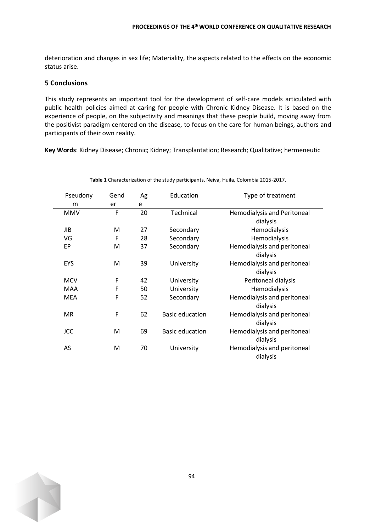deterioration and changes in sex life; Materiality, the aspects related to the effects on the economic status arise.

#### **5 Conclusions**

This study represents an important tool for the development of self-care models articulated with public health policies aimed at caring for people with Chronic Kidney Disease. It is based on the experience of people, on the subjectivity and meanings that these people build, moving away from the positivist paradigm centered on the disease, to focus on the care for human beings, authors and participants of their own reality.

**Key Words**: Kidney Disease; Chronic; Kidney; Transplantation; Research; Qualitative; hermeneutic

| Pseudony   | Gend | Ag | Education              | Type of treatment                              |
|------------|------|----|------------------------|------------------------------------------------|
| m          | er   | e  |                        |                                                |
| <b>MMV</b> | F    | 20 | Technical              | <b>Hemodialysis and Peritoneal</b><br>dialysis |
| JIB        | M    | 27 | Secondary              | Hemodialysis                                   |
| VG         | F    | 28 | Secondary              | Hemodialysis                                   |
| EP         | M    | 37 | Secondary              | Hemodialysis and peritoneal<br>dialysis        |
| EYS        | M    | 39 | University             | Hemodialysis and peritoneal<br>dialysis        |
| <b>MCV</b> | F    | 42 | University             | Peritoneal dialysis                            |
| MAA        | F    | 50 | University             | Hemodialysis                                   |
| <b>MEA</b> | F    | 52 | Secondary              | Hemodialysis and peritoneal<br>dialysis        |
| <b>MR</b>  | F    | 62 | <b>Basic education</b> | Hemodialysis and peritoneal<br>dialysis        |
| <b>JCC</b> | M    | 69 | <b>Basic education</b> | Hemodialysis and peritoneal<br>dialysis        |
| AS         | M    | 70 | University             | Hemodialysis and peritoneal<br>dialysis        |

**Table 1** Characterization of the study participants, Neiva, Huila, Colombia 2015-2017.